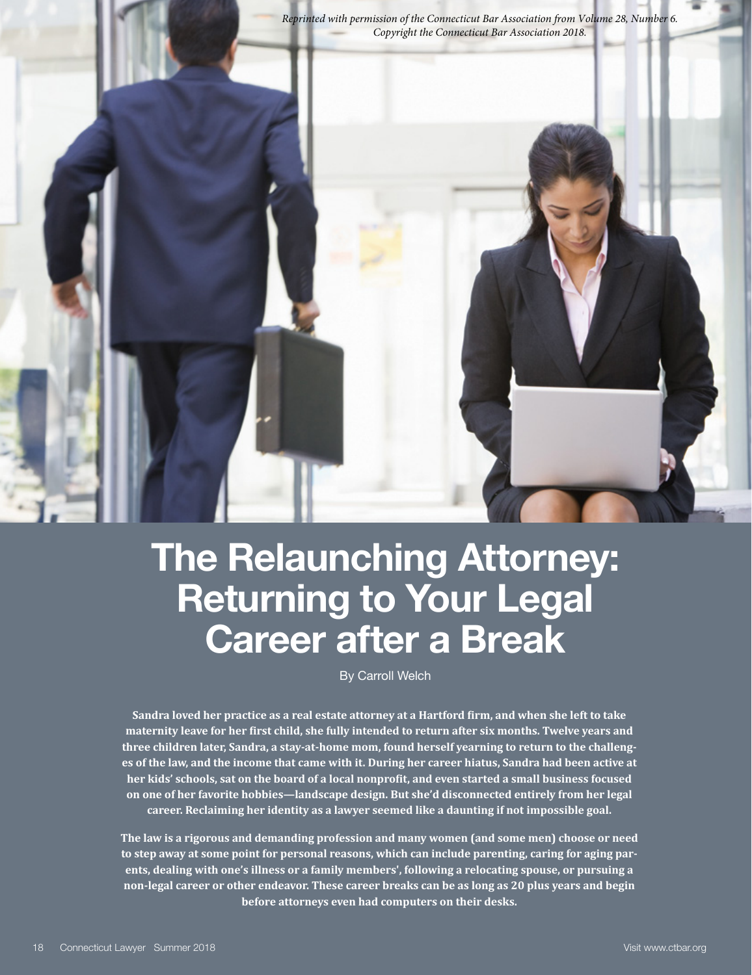*Reprinted with permission of the Connecticut Bar Association from Volume 28, Number 6.* 



# **The Relaunching Attorney: Returning to Your Legal Career after a Break**

By Carroll Welch

**Sandra loved her practice as a real estate attorney at a Hartford firm, and when she left to take maternity leave for her first child, she fully intended to return after six months. Twelve years and three children later, Sandra, a stay-at-home mom, found herself yearning to return to the challenges of the law, and the income that came with it. During her career hiatus, Sandra had been active at her kids' schools, sat on the board of a local nonprofit, and even started a small business focused on one of her favorite hobbies—landscape design. But she'd disconnected entirely from her legal career. Reclaiming her identity as a lawyer seemed like a daunting if not impossible goal.**

**The law is a rigorous and demanding profession and many women (and some men) choose or need to step away at some point for personal reasons, which can include parenting, caring for aging parents, dealing with one's illness or a family members', following a relocating spouse, or pursuing a non-legal career or other endeavor. These career breaks can be as long as 20 plus years and begin before attorneys even had computers on their desks.**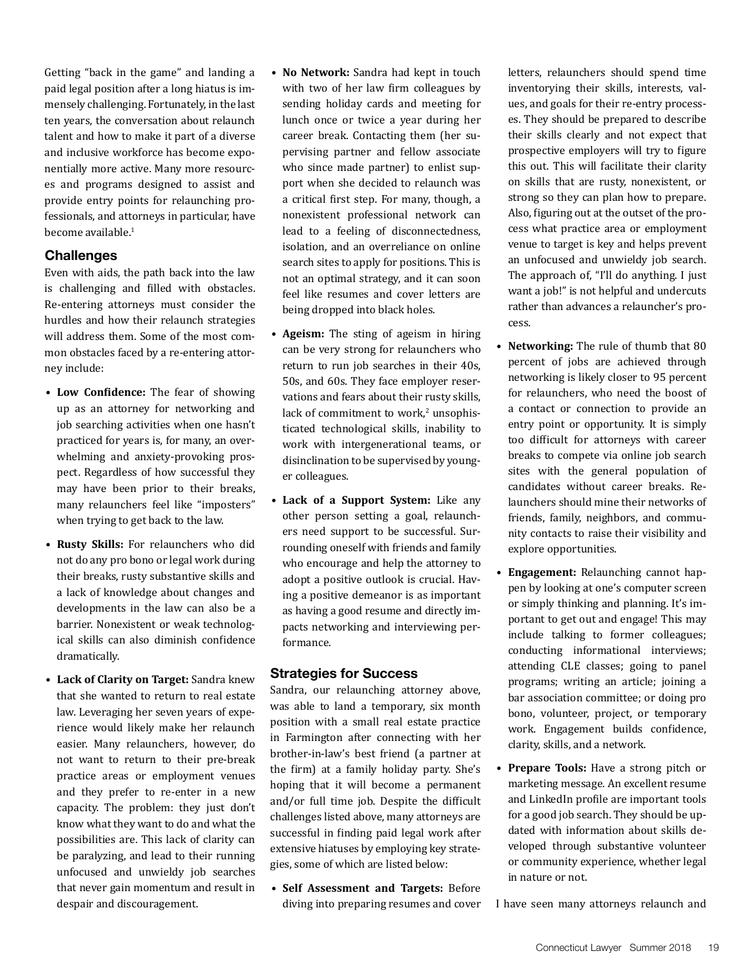Getting "back in the game" and landing a paid legal position after a long hiatus is immensely challenging. Fortunately, in the last ten years, the conversation about relaunch talent and how to make it part of a diverse and inclusive workforce has become exponentially more active. Many more resources and programs designed to assist and provide entry points for relaunching professionals, and attorneys in particular, have become available.<sup>1</sup>

#### **Challenges**

Even with aids, the path back into the law is challenging and filled with obstacles. Re-entering attorneys must consider the hurdles and how their relaunch strategies will address them. Some of the most common obstacles faced by a re-entering attorney include:

- **Low Confidence:** The fear of showing up as an attorney for networking and job searching activities when one hasn't practiced for years is, for many, an overwhelming and anxiety-provoking prospect. Regardless of how successful they may have been prior to their breaks, many relaunchers feel like "imposters" when trying to get back to the law.
- **Rusty Skills:** For relaunchers who did not do any pro bono or legal work during their breaks, rusty substantive skills and a lack of knowledge about changes and developments in the law can also be a barrier. Nonexistent or weak technological skills can also diminish confidence dramatically.
- **Lack of Clarity on Target:** Sandra knew that she wanted to return to real estate law. Leveraging her seven years of experience would likely make her relaunch easier. Many relaunchers, however, do not want to return to their pre-break practice areas or employment venues and they prefer to re-enter in a new capacity. The problem: they just don't know what they want to do and what the possibilities are. This lack of clarity can be paralyzing, and lead to their running unfocused and unwieldy job searches that never gain momentum and result in despair and discouragement.
- **No Network:** Sandra had kept in touch with two of her law firm colleagues by sending holiday cards and meeting for lunch once or twice a year during her career break. Contacting them (her supervising partner and fellow associate who since made partner) to enlist support when she decided to relaunch was a critical first step. For many, though, a nonexistent professional network can lead to a feeling of disconnectedness, isolation, and an overreliance on online search sites to apply for positions. This is not an optimal strategy, and it can soon feel like resumes and cover letters are being dropped into black holes.
- **Ageism:** The sting of ageism in hiring can be very strong for relaunchers who return to run job searches in their 40s, 50s, and 60s. They face employer reservations and fears about their rusty skills, lack of commitment to work, $\alpha$  unsophisticated technological skills, inability to work with intergenerational teams, or disinclination to be supervised by younger colleagues.
- **Lack of a Support System:** Like any other person setting a goal, relaunchers need support to be successful. Surrounding oneself with friends and family who encourage and help the attorney to adopt a positive outlook is crucial. Having a positive demeanor is as important as having a good resume and directly impacts networking and interviewing performance.

#### **Strategies for Success**

Sandra, our relaunching attorney above, was able to land a temporary, six month position with a small real estate practice in Farmington after connecting with her brother-in-law's best friend (a partner at the firm) at a family holiday party. She's hoping that it will become a permanent and/or full time job. Despite the difficult challenges listed above, many attorneys are successful in finding paid legal work after extensive hiatuses by employing key strategies, some of which are listed below:

• **Self Assessment and Targets:** Before diving into preparing resumes and cover letters, relaunchers should spend time inventorying their skills, interests, values, and goals for their re-entry processes. They should be prepared to describe their skills clearly and not expect that prospective employers will try to figure this out. This will facilitate their clarity on skills that are rusty, nonexistent, or strong so they can plan how to prepare. Also, figuring out at the outset of the process what practice area or employment venue to target is key and helps prevent an unfocused and unwieldy job search. The approach of, "I'll do anything. I just want a job!" is not helpful and undercuts rather than advances a relauncher's process.

- **Networking:** The rule of thumb that 80 percent of jobs are achieved through networking is likely closer to 95 percent for relaunchers, who need the boost of a contact or connection to provide an entry point or opportunity. It is simply too difficult for attorneys with career breaks to compete via online job search sites with the general population of candidates without career breaks. Relaunchers should mine their networks of friends, family, neighbors, and community contacts to raise their visibility and explore opportunities.
- **Engagement:** Relaunching cannot happen by looking at one's computer screen or simply thinking and planning. It's important to get out and engage! This may include talking to former colleagues; conducting informational interviews; attending CLE classes; going to panel programs; writing an article; joining a bar association committee; or doing pro bono, volunteer, project, or temporary work. Engagement builds confidence, clarity, skills, and a network.
- **Prepare Tools:** Have a strong pitch or marketing message. An excellent resume and LinkedIn profile are important tools for a good job search. They should be updated with information about skills developed through substantive volunteer or community experience, whether legal in nature or not.
- I have seen many attorneys relaunch and